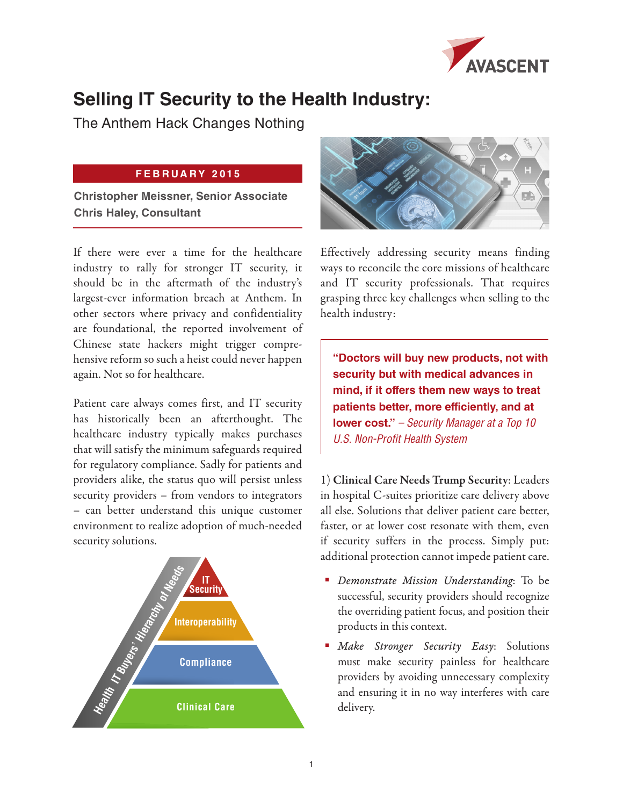

## **Selling IT Security to the Health Industry:**

The Anthem Hack Changes Nothing

## **FEBRUARY 2015**

**Christopher Meissner, Senior Associate Chris Haley, Consultant**

If there were ever a time for the healthcare industry to rally for stronger IT security, it should be in the aftermath of the industry's largest-ever information breach at Anthem. In other sectors where privacy and confidentiality are foundational, the reported involvement of Chinese state hackers might trigger comprehensive reform so such a heist could never happen again. Not so for healthcare.

Patient care always comes first, and IT security has historically been an afterthought. The healthcare industry typically makes purchases that will satisfy the minimum safeguards required for regulatory compliance. Sadly for patients and providers alike, the status quo will persist unless security providers – from vendors to integrators – can better understand this unique customer environment to realize adoption of much-needed security solutions.





Effectively addressing security means finding ways to reconcile the core missions of healthcare and IT security professionals. That requires grasping three key challenges when selling to the health industry:

**"Doctors will buy new products, not with security but with medical advances in mind, if it offers them new ways to treat patients better, more efficiently, and at lower cost."** *– Security Manager at a Top 10 U.S. Non-Profit Health System*

1) Clinical Care Needs Trump Security: Leaders in hospital C-suites prioritize care delivery above all else. Solutions that deliver patient care better, faster, or at lower cost resonate with them, even if security suffers in the process. Simply put: additional protection cannot impede patient care.

- *Demonstrate Mission Understanding*: To be successful, security providers should recognize the overriding patient focus, and position their products in this context.
- *Make Stronger Security Easy*: Solutions must make security painless for healthcare providers by avoiding unnecessary complexity and ensuring it in no way interferes with care delivery.